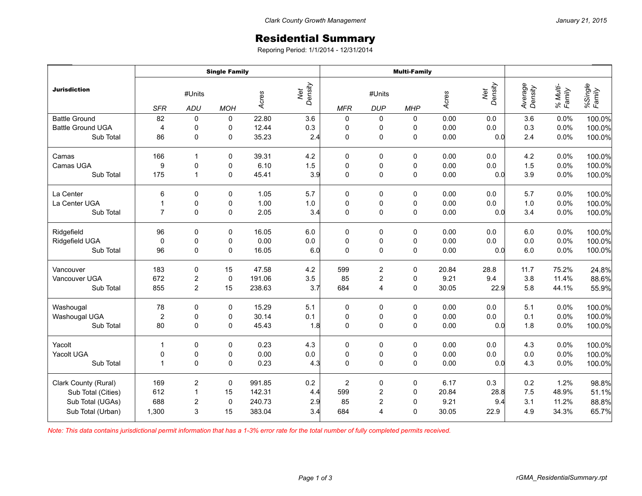## Residential Summary

Reporing Period: 1/1/2014 - 12/31/2014

|                          | <b>Single Family</b> |                         |              |        |                | <b>Multi-Family</b> |                      |             |       |                |                    |                    |                   |
|--------------------------|----------------------|-------------------------|--------------|--------|----------------|---------------------|----------------------|-------------|-------|----------------|--------------------|--------------------|-------------------|
| <b>Jurisdiction</b>      | <b>SFR</b>           | #Units<br>ADU           | <b>MOH</b>   | Acres  | Net<br>Density | <b>MFR</b>          | #Units<br><b>DUP</b> | <b>MHP</b>  | Acres | Density<br>Net | Average<br>Density | % Multi-<br>Family | %Single<br>Family |
| <b>Battle Ground</b>     | 82                   | 0                       | 0            | 22.80  | 3.6            | $\pmb{0}$           | $\pmb{0}$            | 0           | 0.00  | 0.0            | 3.6                | 0.0%               | 100.0%            |
| <b>Battle Ground UGA</b> | $\overline{4}$       | $\pmb{0}$               | 0            | 12.44  | 0.3            | $\pmb{0}$           | $\pmb{0}$            | 0           | 0.00  | 0.0            | 0.3                | 0.0%               | 100.0%            |
| Sub Total                | 86                   | 0                       | 0            | 35.23  | 2.4            | $\mathbf 0$         | 0                    | 0           | 0.00  | 0.0            | 2.4                | 0.0%               | 100.0%            |
| Camas                    | 166                  | -1                      | 0            | 39.31  | 4.2            | 0                   | 0                    | 0           | 0.00  | 0.0            | 4.2                | 0.0%               | 100.0%            |
| Camas UGA                | 9                    | 0                       | 0            | 6.10   | 1.5            | $\pmb{0}$           | $\pmb{0}$            | $\pmb{0}$   | 0.00  | 0.0            | 1.5                | 0.0%               | 100.0%            |
| Sub Total                | 175                  | $\mathbf{1}$            | $\pmb{0}$    | 45.41  | 3.9            | $\mathbf 0$         | $\mathsf 0$          | $\mathsf 0$ | 0.00  | 0.0            | 3.9                | 0.0%               | 100.0%            |
| La Center                | 6                    | 0                       | 0            | 1.05   | 5.7            | 0                   | 0                    | 0           | 0.00  | 0.0            | 5.7                | 0.0%               | 100.0%            |
| La Center UGA            | $\mathbf{1}$         | $\pmb{0}$               | 0            | 1.00   | $1.0\,$        | $\pmb{0}$           | $\pmb{0}$            | 0           | 0.00  | 0.0            | 1.0                | 0.0%               | 100.0%            |
| Sub Total                | $\overline{7}$       | $\Omega$                | $\mathbf 0$  | 2.05   | 3.4            | $\mathbf 0$         | $\pmb{0}$            | $\mathbf 0$ | 0.00  | 0.0            | 3.4                | 0.0%               | 100.0%            |
| Ridgefield               | 96                   | 0                       | 0            | 16.05  | 6.0            | $\pmb{0}$           | $\pmb{0}$            | $\pmb{0}$   | 0.00  | 0.0            | 6.0                | 0.0%               | 100.0%            |
| Ridgefield UGA           | $\mathbf 0$          | 0                       | 0            | 0.00   | $0.0\,$        | $\pmb{0}$           | $\pmb{0}$            | $\pmb{0}$   | 0.00  | 0.0            | 0.0                | 0.0%               | 100.0%            |
| Sub Total                | 96                   | 0                       | 0            | 16.05  | 6.0            | $\mathbf 0$         | $\mathsf 0$          | $\mathbf 0$ | 0.00  | 0.0            | 6.0                | 0.0%               | 100.0%            |
| Vancouver                | 183                  | $\mathbf 0$             | 15           | 47.58  | 4.2            | 599                 | $\overline{2}$       | 0           | 20.84 | 28.8           | 11.7               | 75.2%              | 24.8%             |
| Vancouver UGA            | 672                  | $\overline{\mathbf{c}}$ | $\pmb{0}$    | 191.06 | 3.5            | 85                  | $\boldsymbol{2}$     | $\mathbf 0$ | 9.21  | 9.4            | 3.8                | 11.4%              | 88.6%             |
| Sub Total                | 855                  | $\overline{2}$          | 15           | 238.63 | 3.7            | 684                 | 4                    | $\mathbf 0$ | 30.05 | 22.9           | 5.8                | 44.1%              | 55.9%             |
| Washougal                | 78                   | 0                       | 0            | 15.29  | 5.1            | 0                   | 0                    | 0           | 0.00  | 0.0            | 5.1                | 0.0%               | 100.0%            |
| Washougal UGA            | $\overline{2}$       | 0                       | 0            | 30.14  | 0.1            | $\pmb{0}$           | $\pmb{0}$            | $\pmb{0}$   | 0.00  | 0.0            | 0.1                | 0.0%               | 100.0%            |
| Sub Total                | 80                   | $\mathbf 0$             | $\mathbf 0$  | 45.43  | 1.8            | $\mathbf 0$         | $\mathsf 0$          | $\mathbf 0$ | 0.00  | 0.0            | 1.8                | 0.0%               | 100.0%            |
| Yacolt                   | $\mathbf{1}$         | 0                       | 0            | 0.23   | 4.3            | $\pmb{0}$           | 0                    | 0           | 0.00  | 0.0            | 4.3                | 0.0%               | 100.0%            |
| Yacolt UGA               | 0                    | 0                       | 0            | 0.00   | $0.0\,$        | $\pmb{0}$           | $\pmb{0}$            | $\pmb{0}$   | 0.00  | 0.0            | 0.0                | 0.0%               | 100.0%            |
| Sub Total                | $\mathbf{1}$         | $\Omega$                | $\mathbf{0}$ | 0.23   | 4.3            | $\mathbf 0$         | $\pmb{0}$            | $\mathbf 0$ | 0.00  | 0.0            | 4.3                | 0.0%               | 100.0%            |
| Clark County (Rural)     | 169                  | $\mathbf 2$             | $\pmb{0}$    | 991.85 | 0.2            | $\boldsymbol{2}$    | $\pmb{0}$            | $\pmb{0}$   | 6.17  | 0.3            | 0.2                | 1.2%               | 98.8%             |
| Sub Total (Cities)       | 612                  | 1                       | 15           | 142.31 | 4.4            | 599                 | $\boldsymbol{2}$     | $\pmb{0}$   | 20.84 | 28.8           | 7.5                | 48.9%              | 51.1%             |
| Sub Total (UGAs)         | 688                  | $\mathbf 2$             | $\pmb{0}$    | 240.73 | 2.9            | 85                  | $\mathbf 2$          | $\pmb{0}$   | 9.21  | 9.4            | 3.1                | 11.2%              | 88.8%             |
| Sub Total (Urban)        | 1,300                | 3                       | 15           | 383.04 | 3.4            | 684                 | $\overline{4}$       | $\mathbf 0$ | 30.05 | 22.9           | 4.9                | 34.3%              | 65.7%             |

*Note: This data contains jurisdictional permit information that has a 1-3% error rate for the total number of fully completed permits received.*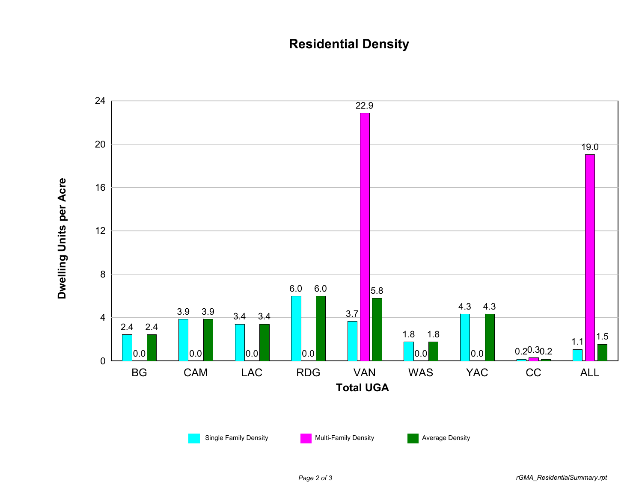## **Residential Density**



*Page 2 of 3 rGMA\_ResidentialSummary.rpt*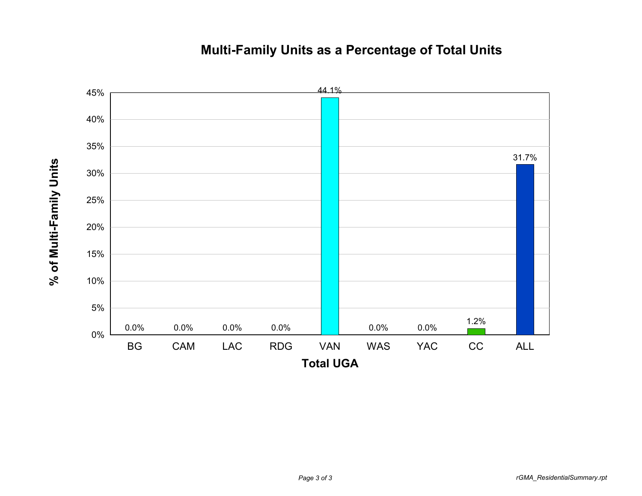## **Multi-Family Units as a Percentage of Total Units**